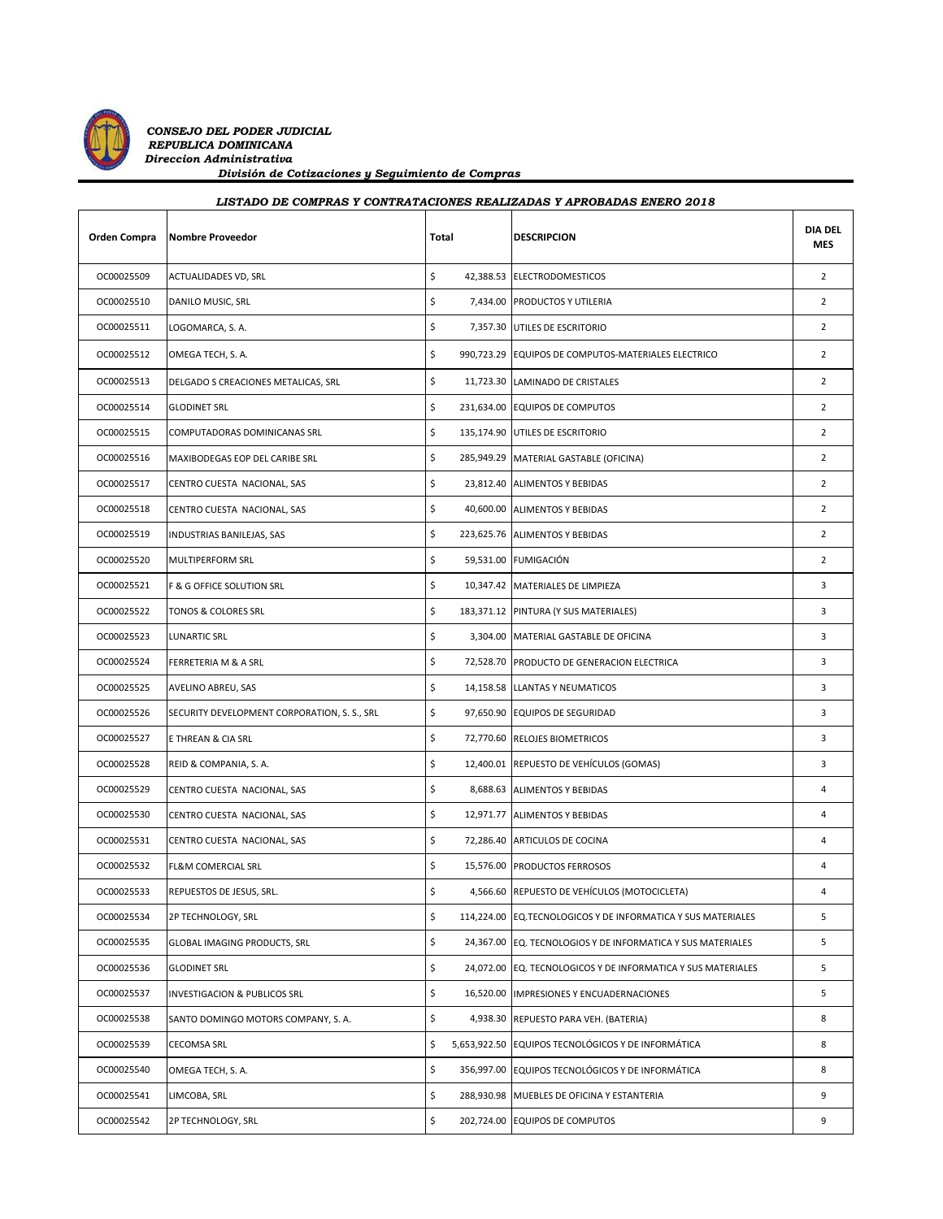

*CONSEJO DEL PODER JUDICIAL REPUBLICA DOMINICANA Direccion Administrativa División de Cotizaciones y Seguimiento de Compras*

## *LISTADO DE COMPRAS Y CONTRATACIONES REALIZADAS Y APROBADAS ENERO 2018*

| Orden Compra | Nombre Proveedor                             | Total |  | <b>DESCRIPCION</b>                                            | <b>DIA DEL</b><br><b>MES</b> |
|--------------|----------------------------------------------|-------|--|---------------------------------------------------------------|------------------------------|
| OC00025509   | <b>ACTUALIDADES VD, SRL</b>                  | \$    |  | 42,388.53 ELECTRODOMESTICOS                                   | $\overline{2}$               |
| OC00025510   | DANILO MUSIC, SRL                            | \$    |  | 7,434.00 PRODUCTOS Y UTILERIA                                 | $\overline{2}$               |
| OC00025511   | LOGOMARCA, S. A.                             | \$    |  | 7,357.30 UTILES DE ESCRITORIO                                 | $\overline{2}$               |
| OC00025512   | OMEGA TECH, S. A.                            | \$    |  | 990,723.29 EQUIPOS DE COMPUTOS-MATERIALES ELECTRICO           | $\overline{2}$               |
| OC00025513   | DELGADO S CREACIONES METALICAS, SRL          | \$    |  | 11,723.30 LAMINADO DE CRISTALES                               | $\overline{2}$               |
| OC00025514   | <b>GLODINET SRL</b>                          | \$    |  | 231,634.00 EQUIPOS DE COMPUTOS                                | $\overline{2}$               |
| OC00025515   | COMPUTADORAS DOMINICANAS SRL                 | \$    |  | 135,174.90 UTILES DE ESCRITORIO                               | $\overline{2}$               |
| OC00025516   | MAXIBODEGAS EOP DEL CARIBE SRL               | \$    |  | 285,949.29 MATERIAL GASTABLE (OFICINA)                        | $\overline{2}$               |
| OC00025517   | CENTRO CUESTA NACIONAL, SAS                  | \$    |  | 23,812.40 ALIMENTOS Y BEBIDAS                                 | $\overline{2}$               |
| OC00025518   | CENTRO CUESTA NACIONAL, SAS                  | \$    |  | 40,600.00 ALIMENTOS Y BEBIDAS                                 | $\overline{2}$               |
| OC00025519   | INDUSTRIAS BANILEJAS, SAS                    | \$    |  | 223,625.76 ALIMENTOS Y BEBIDAS                                | $\overline{2}$               |
| OC00025520   | MULTIPERFORM SRL                             | \$    |  | 59,531.00 FUMIGACIÓN                                          | $\overline{2}$               |
| OC00025521   | F & G OFFICE SOLUTION SRL                    | \$    |  | 10,347.42 MATERIALES DE LIMPIEZA                              | 3                            |
| OC00025522   | TONOS & COLORES SRL                          | \$    |  | 183,371.12 PINTURA (Y SUS MATERIALES)                         | 3                            |
| OC00025523   | LUNARTIC SRL                                 | \$    |  | 3,304.00 MATERIAL GASTABLE DE OFICINA                         | 3                            |
| OC00025524   | FERRETERIA M & A SRL                         | \$    |  | 72,528.70 PRODUCTO DE GENERACION ELECTRICA                    | 3                            |
| OC00025525   | AVELINO ABREU, SAS                           | \$    |  | 14,158.58 LLANTAS Y NEUMATICOS                                | 3                            |
| OC00025526   | SECURITY DEVELOPMENT CORPORATION, S. S., SRL | \$    |  | 97,650.90 EQUIPOS DE SEGURIDAD                                | 3                            |
| OC00025527   | E THREAN & CIA SRL                           | \$    |  | 72,770.60 RELOJES BIOMETRICOS                                 | 3                            |
| OC00025528   | REID & COMPANIA, S. A.                       | \$    |  | 12,400.01 REPUESTO DE VEHÍCULOS (GOMAS)                       | 3                            |
| OC00025529   | CENTRO CUESTA NACIONAL, SAS                  | \$    |  | 8,688.63 ALIMENTOS Y BEBIDAS                                  | 4                            |
| OC00025530   | CENTRO CUESTA NACIONAL, SAS                  | \$    |  | 12,971.77 ALIMENTOS Y BEBIDAS                                 | 4                            |
| OC00025531   | CENTRO CUESTA NACIONAL, SAS                  | \$    |  | 72,286.40 ARTICULOS DE COCINA                                 | 4                            |
| OC00025532   | <b>FL&amp;M COMERCIAL SRL</b>                | \$    |  | 15,576.00 PRODUCTOS FERROSOS                                  | 4                            |
| OC00025533   | REPUESTOS DE JESUS, SRL.                     | \$    |  | 4,566.60 REPUESTO DE VEHÍCULOS (MOTOCICLETA)                  | 4                            |
| OC00025534   | 2P TECHNOLOGY, SRL                           | \$    |  | 114,224.00 EQ. TECNOLOGICOS Y DE INFORMATICA Y SUS MATERIALES | 5                            |
| OC00025535   | GLOBAL IMAGING PRODUCTS, SRL                 | \$    |  | 24,367.00 EQ. TECNOLOGIOS Y DE INFORMATICA Y SUS MATERIALES   | 5                            |
| OC00025536   | <b>GLODINET SRL</b>                          | \$    |  | 24,072.00 EQ. TECNOLOGICOS Y DE INFORMATICA Y SUS MATERIALES  | 5                            |
| OC00025537   | INVESTIGACION & PUBLICOS SRL                 | \$    |  | 16,520.00 IMPRESIONES Y ENCUADERNACIONES                      | 5                            |
| OC00025538   | SANTO DOMINGO MOTORS COMPANY, S. A.          | \$    |  | 4,938.30 REPUESTO PARA VEH. (BATERIA)                         | 8                            |
| OC00025539   | CECOMSA SRL                                  | \$    |  | 5,653,922.50 EQUIPOS TECNOLÓGICOS Y DE INFORMÁTICA            | 8                            |
| OC00025540   | OMEGA TECH, S. A.                            | \$    |  | 356,997.00 EQUIPOS TECNOLÓGICOS Y DE INFORMÁTICA              | 8                            |
| OC00025541   | LIMCOBA, SRL                                 | \$    |  | 288,930.98 MUEBLES DE OFICINA Y ESTANTERIA                    | 9                            |
| OC00025542   | 2P TECHNOLOGY, SRL                           | \$    |  | 202,724.00 EQUIPOS DE COMPUTOS                                | 9                            |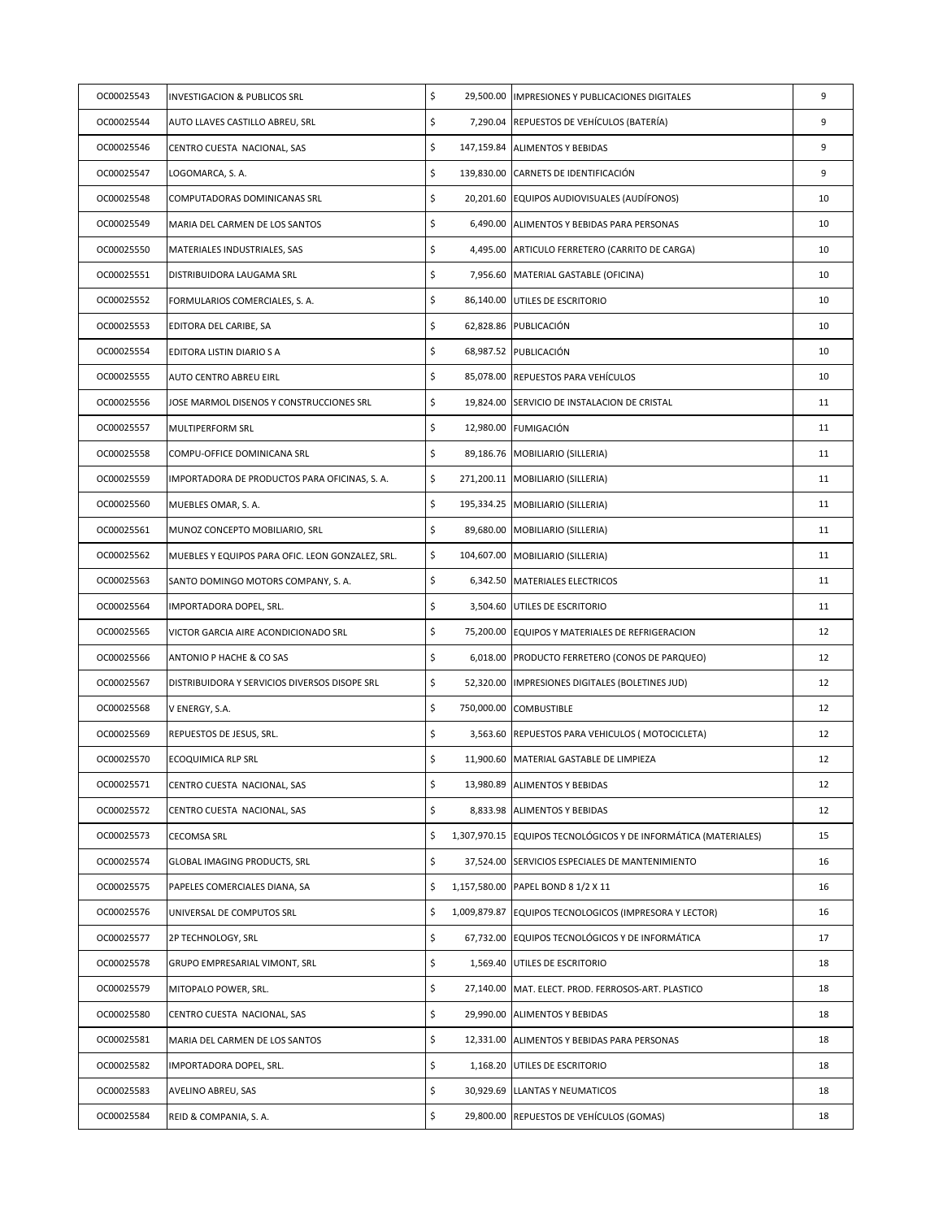| OC00025543 | <b>INVESTIGACION &amp; PUBLICOS SRL</b>          | \$ | 29,500.00 IMPRESIONES Y PUBLICACIONES DIGITALES                 | 9  |
|------------|--------------------------------------------------|----|-----------------------------------------------------------------|----|
| OC00025544 | AUTO LLAVES CASTILLO ABREU, SRL                  | \$ | 7,290.04 REPUESTOS DE VEHÍCULOS (BATERÍA)                       | 9  |
| OC00025546 | CENTRO CUESTA NACIONAL, SAS                      | \$ | 147,159.84 ALIMENTOS Y BEBIDAS                                  | 9  |
| OC00025547 | LOGOMARCA, S. A.                                 | \$ | 139,830.00 CARNETS DE IDENTIFICACIÓN                            | 9  |
| OC00025548 | COMPUTADORAS DOMINICANAS SRL                     | \$ | 20,201.60 EQUIPOS AUDIOVISUALES (AUDÍFONOS)                     | 10 |
| OC00025549 | MARIA DEL CARMEN DE LOS SANTOS                   | \$ | 6,490.00 ALIMENTOS Y BEBIDAS PARA PERSONAS                      | 10 |
| OC00025550 | MATERIALES INDUSTRIALES, SAS                     | \$ | 4,495.00 ARTICULO FERRETERO (CARRITO DE CARGA)                  | 10 |
| OC00025551 | DISTRIBUIDORA LAUGAMA SRL                        | \$ | 7,956.60 MATERIAL GASTABLE (OFICINA)                            | 10 |
| OC00025552 | FORMULARIOS COMERCIALES, S. A.                   | \$ | 86,140.00 UTILES DE ESCRITORIO                                  | 10 |
| OC00025553 | EDITORA DEL CARIBE, SA                           | \$ | 62,828.86 PUBLICACIÓN                                           | 10 |
| OC00025554 | EDITORA LISTIN DIARIO S A                        | \$ | 68,987.52 PUBLICACIÓN                                           | 10 |
| OC00025555 | AUTO CENTRO ABREU EIRL                           | \$ | 85,078.00 REPUESTOS PARA VEHÍCULOS                              | 10 |
| OC00025556 | JOSE MARMOL DISENOS Y CONSTRUCCIONES SRL         | \$ | 19,824.00 SERVICIO DE INSTALACION DE CRISTAL                    | 11 |
| OC00025557 | MULTIPERFORM SRL                                 | \$ | 12,980.00 FUMIGACIÓN                                            | 11 |
| OC00025558 | COMPU-OFFICE DOMINICANA SRL                      | \$ | 89,186.76 MOBILIARIO (SILLERIA)                                 | 11 |
| OC00025559 | IMPORTADORA DE PRODUCTOS PARA OFICINAS, S. A.    | \$ | 271,200.11   MOBILIARIO (SILLERIA)                              | 11 |
| OC00025560 | MUEBLES OMAR, S. A.                              | \$ | 195,334.25 MOBILIARIO (SILLERIA)                                | 11 |
| OC00025561 | MUNOZ CONCEPTO MOBILIARIO, SRL                   | \$ | 89,680.00 MOBILIARIO (SILLERIA)                                 | 11 |
| OC00025562 | MUEBLES Y EQUIPOS PARA OFIC. LEON GONZALEZ, SRL. | \$ | 104,607.00 MOBILIARIO (SILLERIA)                                | 11 |
| OC00025563 | SANTO DOMINGO MOTORS COMPANY, S. A.              | \$ | 6,342.50 MATERIALES ELECTRICOS                                  | 11 |
| OC00025564 | IMPORTADORA DOPEL, SRL.                          | \$ | 3,504.60 UTILES DE ESCRITORIO                                   | 11 |
| OC00025565 | VICTOR GARCIA AIRE ACONDICIONADO SRL             | \$ | 75,200.00 EQUIPOS Y MATERIALES DE REFRIGERACION                 | 12 |
| OC00025566 | ANTONIO P HACHE & CO SAS                         | \$ | 6,018.00 PRODUCTO FERRETERO (CONOS DE PARQUEO)                  | 12 |
| OC00025567 | DISTRIBUIDORA Y SERVICIOS DIVERSOS DISOPE SRL    | \$ | 52,320.00 IMPRESIONES DIGITALES (BOLETINES JUD)                 | 12 |
| OC00025568 | V ENERGY, S.A.                                   | \$ | 750,000.00 COMBUSTIBLE                                          | 12 |
| OC00025569 | REPUESTOS DE JESUS, SRL.                         | \$ | 3,563.60 REPUESTOS PARA VEHICULOS (MOTOCICLETA)                 | 12 |
| OC00025570 | ECOQUIMICA RLP SRL                               | \$ | 11,900.60   MATERIAL GASTABLE DE LIMPIEZA                       | 12 |
| OC00025571 | CENTRO CUESTA NACIONAL, SAS                      | \$ | 13,980.89 ALIMENTOS Y BEBIDAS                                   | 12 |
| OC00025572 | CENTRO CUESTA NACIONAL, SAS                      | \$ | 8,833.98 ALIMENTOS Y BEBIDAS                                    | 12 |
| OC00025573 | <b>CECOMSA SRL</b>                               | \$ | 1,307,970.15 EQUIPOS TECNOLÓGICOS Y DE INFORMÁTICA (MATERIALES) | 15 |
| OC00025574 | GLOBAL IMAGING PRODUCTS, SRL                     | \$ | 37,524.00 SERVICIOS ESPECIALES DE MANTENIMIENTO                 | 16 |
| OC00025575 | PAPELES COMERCIALES DIANA, SA                    | \$ | 1,157,580.00 PAPEL BOND 8 1/2 X 11                              | 16 |
| OC00025576 | UNIVERSAL DE COMPUTOS SRL                        | \$ | 1,009,879.87 EQUIPOS TECNOLOGICOS (IMPRESORA Y LECTOR)          | 16 |
| OC00025577 | 2P TECHNOLOGY, SRL                               | \$ | 67,732.00 EQUIPOS TECNOLÓGICOS Y DE INFORMÁTICA                 | 17 |
| OC00025578 | GRUPO EMPRESARIAL VIMONT, SRL                    | \$ | 1,569.40 UTILES DE ESCRITORIO                                   | 18 |
| OC00025579 | MITOPALO POWER, SRL.                             | \$ | 27,140.00 MAT. ELECT. PROD. FERROSOS-ART. PLASTICO              | 18 |
| OC00025580 | CENTRO CUESTA NACIONAL, SAS                      | \$ | 29,990.00 ALIMENTOS Y BEBIDAS                                   | 18 |
| OC00025581 | MARIA DEL CARMEN DE LOS SANTOS                   | \$ | 12,331.00 ALIMENTOS Y BEBIDAS PARA PERSONAS                     | 18 |
| OC00025582 | IMPORTADORA DOPEL, SRL.                          | \$ | 1,168.20 UTILES DE ESCRITORIO                                   | 18 |
| OC00025583 | AVELINO ABREU, SAS                               | \$ | 30,929.69 LLANTAS Y NEUMATICOS                                  | 18 |
| OC00025584 | REID & COMPANIA, S. A.                           | \$ | 29,800.00 REPUESTOS DE VEHÍCULOS (GOMAS)                        | 18 |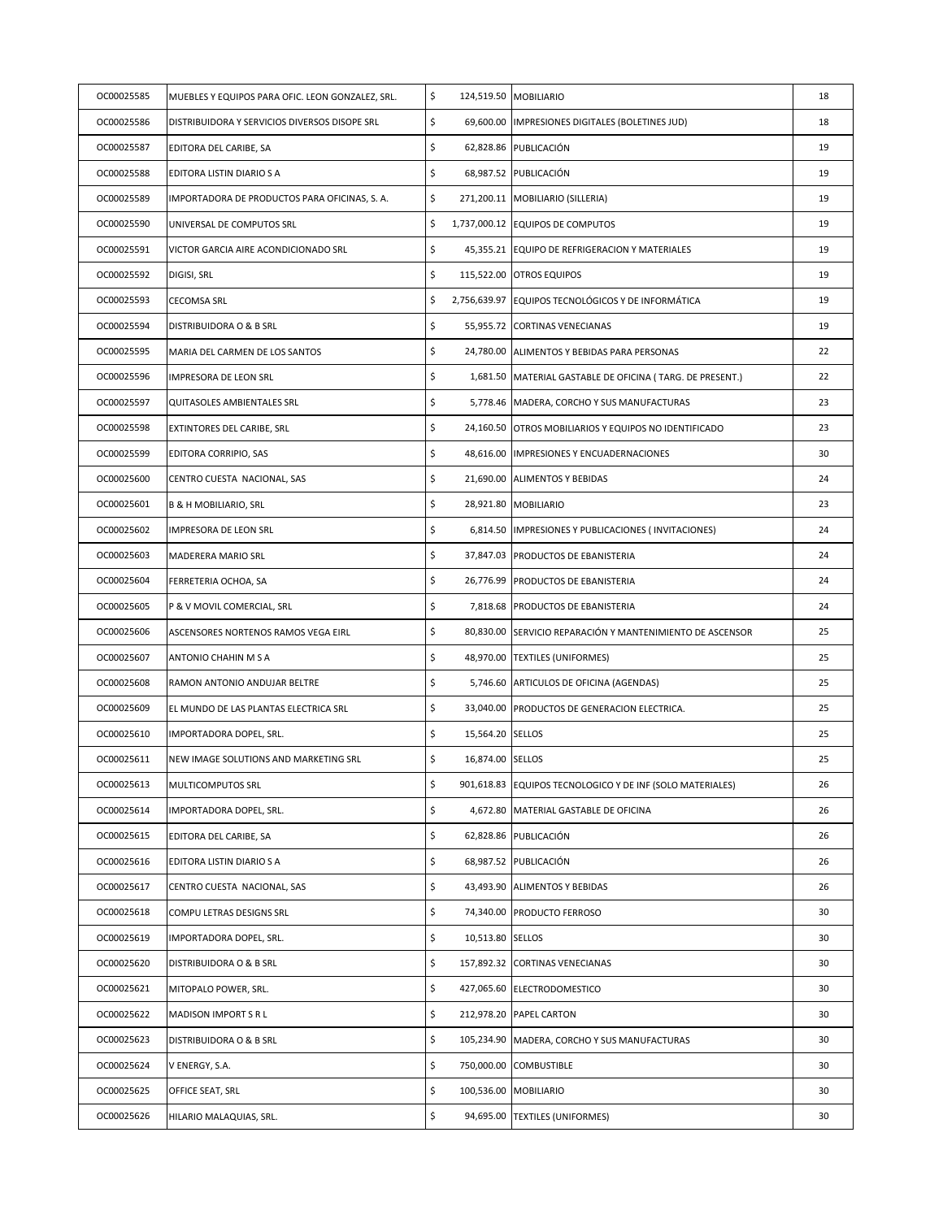| OC00025585 | MUEBLES Y EQUIPOS PARA OFIC. LEON GONZALEZ, SRL. | \$                     | 124,519.50 MOBILIARIO                                     | 18 |
|------------|--------------------------------------------------|------------------------|-----------------------------------------------------------|----|
| OC00025586 | DISTRIBUIDORA Y SERVICIOS DIVERSOS DISOPE SRL    | \$                     | 69,600.00  IMPRESIONES DIGITALES (BOLETINES JUD)          | 18 |
| OC00025587 | EDITORA DEL CARIBE, SA                           | \$                     | 62,828.86 PUBLICACIÓN                                     | 19 |
| OC00025588 | EDITORA LISTIN DIARIO S A                        | \$                     | 68,987.52 PUBLICACIÓN                                     | 19 |
| OC00025589 | IMPORTADORA DE PRODUCTOS PARA OFICINAS, S. A.    | \$                     | 271,200.11 MOBILIARIO (SILLERIA)                          | 19 |
| OC00025590 | UNIVERSAL DE COMPUTOS SRL                        | \$                     | 1,737,000.12 EQUIPOS DE COMPUTOS                          | 19 |
| OC00025591 | VICTOR GARCIA AIRE ACONDICIONADO SRL             | \$                     | 45,355.21 EQUIPO DE REFRIGERACION Y MATERIALES            | 19 |
| OC00025592 | DIGISI, SRL                                      | \$                     | 115,522.00 OTROS EQUIPOS                                  | 19 |
| OC00025593 | <b>CECOMSA SRL</b>                               | \$                     | 2,756,639.97 EQUIPOS TECNOLÓGICOS Y DE INFORMÁTICA        | 19 |
| OC00025594 | DISTRIBUIDORA O & B SRL                          | \$                     | 55,955.72 CORTINAS VENECIANAS                             | 19 |
| OC00025595 | MARIA DEL CARMEN DE LOS SANTOS                   | \$                     | 24,780.00 ALIMENTOS Y BEBIDAS PARA PERSONAS               | 22 |
| OC00025596 | IMPRESORA DE LEON SRL                            | \$                     | 1,681.50 MATERIAL GASTABLE DE OFICINA (TARG. DE PRESENT.) | 22 |
| OC00025597 | QUITASOLES AMBIENTALES SRL                       | \$                     | 5,778.46 MADERA, CORCHO Y SUS MANUFACTURAS                | 23 |
| OC00025598 | EXTINTORES DEL CARIBE, SRL                       | \$                     | 24,160.50 OTROS MOBILIARIOS Y EQUIPOS NO IDENTIFICADO     | 23 |
| OC00025599 | EDITORA CORRIPIO, SAS                            | \$                     | 48,616.00 IMPRESIONES Y ENCUADERNACIONES                  | 30 |
| OC00025600 | CENTRO CUESTA NACIONAL, SAS                      | \$                     | 21,690.00 ALIMENTOS Y BEBIDAS                             | 24 |
| OC00025601 | <b>B &amp; H MOBILIARIO, SRL</b>                 | \$                     | 28,921.80 MOBILIARIO                                      | 23 |
| OC00025602 | IMPRESORA DE LEON SRL                            | \$                     | 6,814.50 IMPRESIONES Y PUBLICACIONES (INVITACIONES)       | 24 |
| OC00025603 | MADERERA MARIO SRL                               | \$                     | 37,847.03 PRODUCTOS DE EBANISTERIA                        | 24 |
| OC00025604 | FERRETERIA OCHOA, SA                             | \$                     | 26,776.99 PRODUCTOS DE EBANISTERIA                        | 24 |
| OC00025605 | P & V MOVIL COMERCIAL, SRL                       | \$                     | 7,818.68 PRODUCTOS DE EBANISTERIA                         | 24 |
| OC00025606 | ASCENSORES NORTENOS RAMOS VEGA EIRL              | \$                     | 80,830.00 SERVICIO REPARACIÓN Y MANTENIMIENTO DE ASCENSOR | 25 |
| OC00025607 | ANTONIO CHAHIN M S A                             | \$                     | 48,970.00 TEXTILES (UNIFORMES)                            | 25 |
| OC00025608 | RAMON ANTONIO ANDUJAR BELTRE                     | \$                     | 5,746.60 ARTICULOS DE OFICINA (AGENDAS)                   | 25 |
| OC00025609 | EL MUNDO DE LAS PLANTAS ELECTRICA SRL            | \$                     | 33,040.00 PRODUCTOS DE GENERACION ELECTRICA.              | 25 |
| OC00025610 | IMPORTADORA DOPEL, SRL.                          | \$<br>15,564.20 SELLOS |                                                           | 25 |
| OC00025611 | NEW IMAGE SOLUTIONS AND MARKETING SRL            | \$<br>16,874.00 SELLOS |                                                           | 25 |
| OC00025613 | MULTICOMPUTOS SRL                                | \$                     | 901,618.83 EQUIPOS TECNOLOGICO Y DE INF (SOLO MATERIALES) | 26 |
| OC00025614 | IMPORTADORA DOPEL, SRL.                          | \$                     | 4,672.80 MATERIAL GASTABLE DE OFICINA                     | 26 |
| OC00025615 | EDITORA DEL CARIBE, SA                           | \$                     | 62,828.86 PUBLICACIÓN                                     | 26 |
| OC00025616 | EDITORA LISTIN DIARIO S A                        | \$                     | 68,987.52 PUBLICACIÓN                                     | 26 |
| OC00025617 | CENTRO CUESTA NACIONAL, SAS                      | \$                     | 43,493.90 ALIMENTOS Y BEBIDAS                             | 26 |
| OC00025618 | COMPU LETRAS DESIGNS SRL                         | \$                     | 74,340.00 PRODUCTO FERROSO                                | 30 |
| OC00025619 | IMPORTADORA DOPEL, SRL.                          | \$<br>10,513.80 SELLOS |                                                           | 30 |
| OC00025620 | DISTRIBUIDORA O & B SRL                          | \$                     | 157,892.32 CORTINAS VENECIANAS                            | 30 |
| OC00025621 | MITOPALO POWER, SRL.                             | \$                     | 427,065.60 ELECTRODOMESTICO                               | 30 |
| OC00025622 | MADISON IMPORT S R L                             | \$                     | 212,978.20 PAPEL CARTON                                   | 30 |
| OC00025623 | DISTRIBUIDORA O & B SRL                          | \$                     | 105,234.90 MADERA, CORCHO Y SUS MANUFACTURAS              | 30 |
| OC00025624 | V ENERGY, S.A.                                   | \$                     | 750,000.00 COMBUSTIBLE                                    | 30 |
| OC00025625 | OFFICE SEAT, SRL                                 | \$                     | 100,536.00 MOBILIARIO                                     | 30 |
| OC00025626 | HILARIO MALAQUIAS, SRL.                          | \$                     | 94,695.00 TEXTILES (UNIFORMES)                            | 30 |